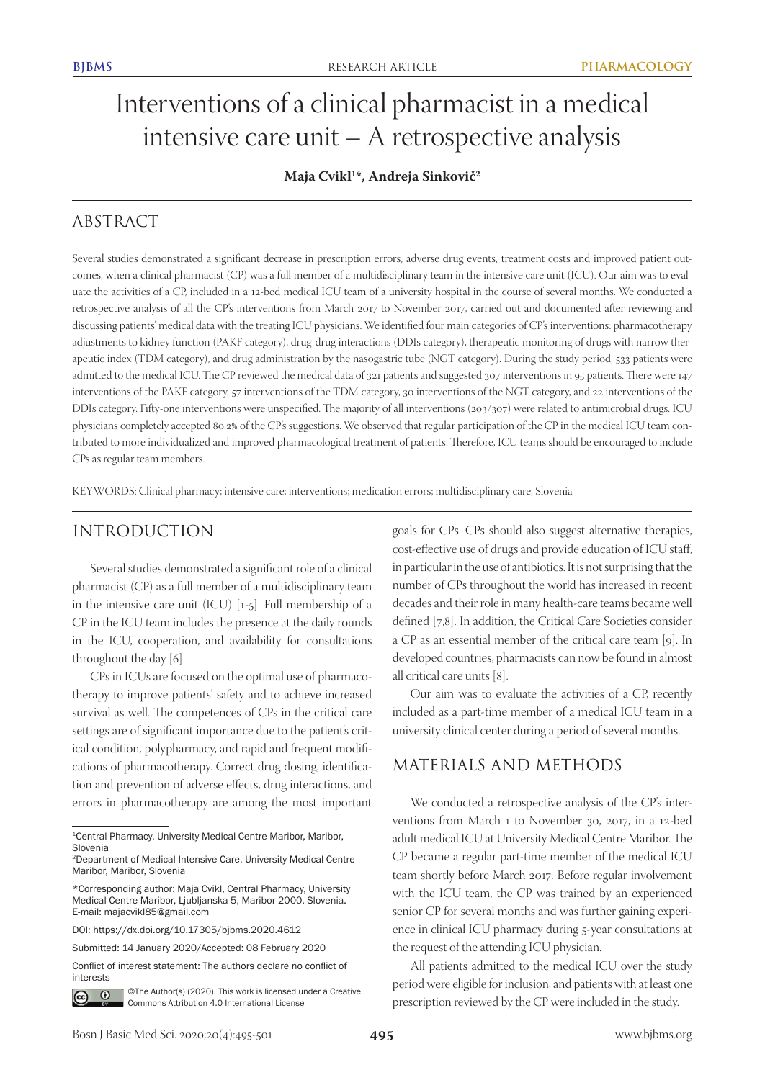# Interventions of a clinical pharmacist in a medical intensive care unit – A retrospective analysis

## **Maja Cvikl1 \*, Andreja Sinkovič2**

## ABSTRACT

Several studies demonstrated a significant decrease in prescription errors, adverse drug events, treatment costs and improved patient outcomes, when a clinical pharmacist (CP) was a full member of a multidisciplinary team in the intensive care unit (ICU). Our aim was to evaluate the activities of a CP, included in a 12-bed medical ICU team of a university hospital in the course of several months. We conducted a retrospective analysis of all the CP's interventions from March 2017 to November 2017, carried out and documented after reviewing and discussing patients' medical data with the treating ICU physicians. We identified four main categories of CP's interventions: pharmacotherapy adjustments to kidney function (PAKF category), drug-drug interactions (DDIs category), therapeutic monitoring of drugs with narrow therapeutic index (TDM category), and drug administration by the nasogastric tube (NGT category). During the study period, 533 patients were admitted to the medical ICU. The CP reviewed the medical data of 321 patients and suggested 307 interventions in 95 patients. There were 147 interventions of the PAKF category, 57 interventions of the TDM category, 30 interventions of the NGT category, and 22 interventions of the DDIs category. Fifty-one interventions were unspecified. The majority of all interventions (203/307) were related to antimicrobial drugs. ICU physicians completely accepted 80.2% of the CP's suggestions. We observed that regular participation of the CP in the medical ICU team contributed to more individualized and improved pharmacological treatment of patients. Therefore, ICU teams should be encouraged to include CPs as regular team members.

KEYWORDS: Clinical pharmacy; intensive care; interventions; medication errors; multidisciplinary care; Slovenia

# INTRODUCTION

Several studies demonstrated a significant role of a clinical pharmacist (CP) as a full member of a multidisciplinary team in the intensive care unit (ICU) [1-5]. Full membership of a CP in the ICU team includes the presence at the daily rounds in the ICU, cooperation, and availability for consultations throughout the day [6].

CPs in ICUs are focused on the optimal use of pharmacotherapy to improve patients' safety and to achieve increased survival as well. The competences of CPs in the critical care settings are of significant importance due to the patient's critical condition, polypharmacy, and rapid and frequent modifications of pharmacotherapy. Correct drug dosing, identification and prevention of adverse effects, drug interactions, and errors in pharmacotherapy are among the most important

Conflict of interest statement: The authors declare no conflict of interests



©The Author(s) (2020). This work is licensed under a Creative Commons Attribution 4.0 International License

goals for CPs. CPs should also suggest alternative therapies, cost-effective use of drugs and provide education of ICU staff, in particular in the use of antibiotics. It is not surprising that the number of CPs throughout the world has increased in recent decades and their role in many health-care teams became well defined [7,8]. In addition, the Critical Care Societies consider a CP as an essential member of the critical care team [9]. In developed countries, pharmacists can now be found in almost all critical care units [8].

Our aim was to evaluate the activities of a CP, recently included as a part-time member of a medical ICU team in a university clinical center during a period of several months.

## MATERIALS AND METHODS

We conducted a retrospective analysis of the CP's interventions from March 1 to November 30, 2017, in a 12-bed adult medical ICU at University Medical Centre Maribor. The CP became a regular part-time member of the medical ICU team shortly before March 2017. Before regular involvement with the ICU team, the CP was trained by an experienced senior CP for several months and was further gaining experience in clinical ICU pharmacy during 5-year consultations at the request of the attending ICU physician.

All patients admitted to the medical ICU over the study period were eligible for inclusion, and patients with at least one prescription reviewed by the CP were included in the study.

<sup>1</sup>Central Pharmacy, University Medical Centre Maribor, Maribor, Slovenia

<sup>2</sup>Department of Medical Intensive Care, University Medical Centre Maribor, Maribor, Slovenia

<sup>\*</sup>Corresponding author: Maja Cvikl, Central Pharmacy, University Medical Centre Maribor, Ljubljanska 5, Maribor 2000, Slovenia. E-mail: majacvikl85@gmail.com

DOI: https://dx.doi.org/10.17305/bjbms.2020.4612

Submitted: 14 January 2020/Accepted: 08 February 2020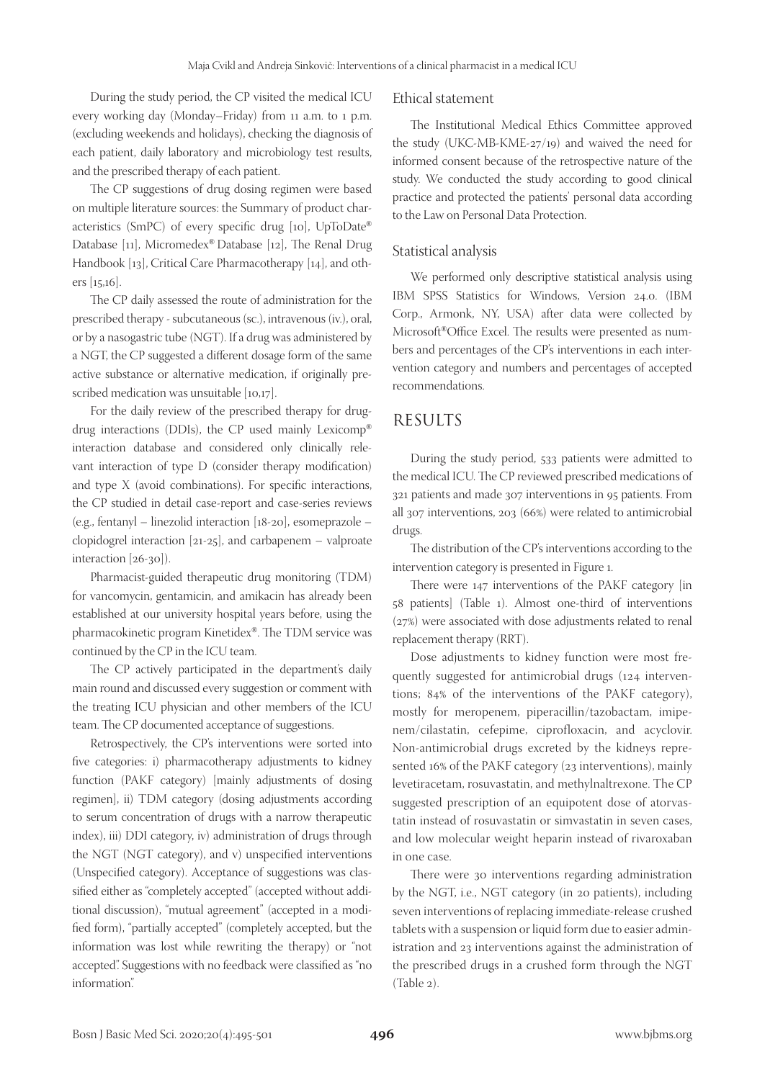During the study period, the CP visited the medical ICU every working day (Monday–Friday) from 11 a.m. to 1 p.m. (excluding weekends and holidays), checking the diagnosis of each patient, daily laboratory and microbiology test results, and the prescribed therapy of each patient.

The CP suggestions of drug dosing regimen were based on multiple literature sources: the Summary of product characteristics (SmPC) of every specific drug [10], UpToDate® Database [11], Micromedex® Database [12], The Renal Drug Handbook [13], Critical Care Pharmacotherapy [14], and others [15,16].

The CP daily assessed the route of administration for the prescribed therapy - subcutaneous (sc.), intravenous (iv.), oral, or by a nasogastric tube (NGT). If a drug was administered by a NGT, the CP suggested a different dosage form of the same active substance or alternative medication, if originally prescribed medication was unsuitable [10,17].

For the daily review of the prescribed therapy for drugdrug interactions (DDIs), the CP used mainly Lexicomp® interaction database and considered only clinically relevant interaction of type D (consider therapy modification) and type X (avoid combinations). For specific interactions, the CP studied in detail case-report and case-series reviews (e.g., fentanyl – linezolid interaction [18-20], esomeprazole – clopidogrel interaction [21-25], and carbapenem – valproate interaction [26-30]).

Pharmacist-guided therapeutic drug monitoring (TDM) for vancomycin, gentamicin, and amikacin has already been established at our university hospital years before, using the pharmacokinetic program Kinetidex®. The TDM service was continued by the CP in the ICU team.

The CP actively participated in the department's daily main round and discussed every suggestion or comment with the treating ICU physician and other members of the ICU team. The CP documented acceptance of suggestions.

Retrospectively, the CP's interventions were sorted into five categories: i) pharmacotherapy adjustments to kidney function (PAKF category) [mainly adjustments of dosing regimen], ii) TDM category (dosing adjustments according to serum concentration of drugs with a narrow therapeutic index), iii) DDI category, iv) administration of drugs through the NGT (NGT category), and v) unspecified interventions (Unspecified category). Acceptance of suggestions was classified either as "completely accepted" (accepted without additional discussion), "mutual agreement" (accepted in a modified form), "partially accepted" (completely accepted, but the information was lost while rewriting the therapy) or "not accepted". Suggestions with no feedback were classified as "no information".

#### Ethical statement

The Institutional Medical Ethics Committee approved the study (UKC-MB-KME-27/19) and waived the need for informed consent because of the retrospective nature of the study. We conducted the study according to good clinical practice and protected the patients' personal data according to the Law on Personal Data Protection.

#### Statistical analysis

We performed only descriptive statistical analysis using IBM SPSS Statistics for Windows, Version 24.0. (IBM Corp., Armonk, NY, USA) after data were collected by Microsoft®Office Excel. The results were presented as numbers and percentages of the CP's interventions in each intervention category and numbers and percentages of accepted recommendations.

## RESULTS

During the study period, 533 patients were admitted to the medical ICU. The CP reviewed prescribed medications of 321 patients and made 307 interventions in 95 patients. From all 307 interventions, 203 (66%) were related to antimicrobial drugs.

The distribution of the CP's interventions according to the intervention category is presented in Figure 1.

There were 147 interventions of the PAKF category [in 58 patients] (Table 1). Almost one-third of interventions (27%) were associated with dose adjustments related to renal replacement therapy (RRT).

Dose adjustments to kidney function were most frequently suggested for antimicrobial drugs (124 interventions; 84% of the interventions of the PAKF category), mostly for meropenem, piperacillin/tazobactam, imipenem/cilastatin, cefepime, ciprofloxacin, and acyclovir. Non-antimicrobial drugs excreted by the kidneys represented 16% of the PAKF category (23 interventions), mainly levetiracetam, rosuvastatin, and methylnaltrexone. The CP suggested prescription of an equipotent dose of atorvastatin instead of rosuvastatin or simvastatin in seven cases, and low molecular weight heparin instead of rivaroxaban in one case.

There were 30 interventions regarding administration by the NGT, i.e., NGT category (in 20 patients), including seven interventions of replacing immediate-release crushed tablets with a suspension or liquid form due to easier administration and 23 interventions against the administration of the prescribed drugs in a crushed form through the NGT (Table 2).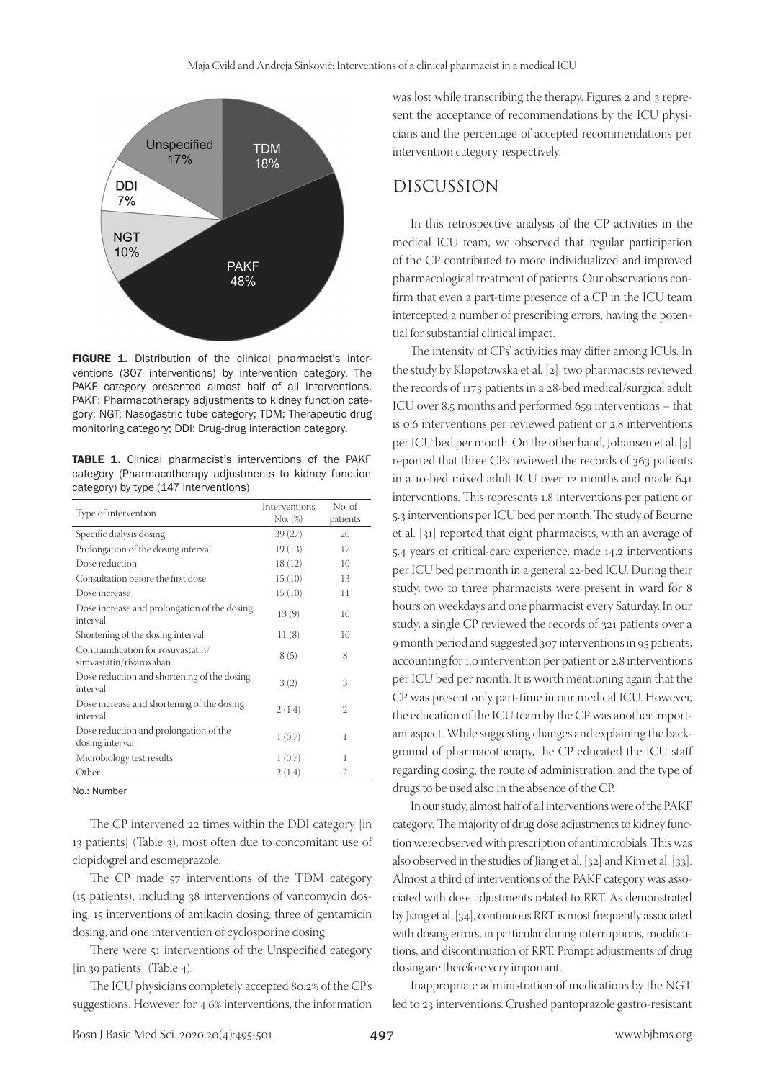

FIGURE 1. Distribution of the clinical pharmacist's interventions (307 interventions) by intervention category. The PAKF category presented almost half of all interventions. PAKF: Pharmacotherapy adjustments to kidney function category; NGT: Nasogastric tube category; TDM: Therapeutic drug monitoring category; DDI: Drug-drug interaction category.

TABLE 1. Clinical pharmacist's interventions of the PAKF category (Pharmacotherapy adjustments to kidney function category) by type (147 interventions)

| Type of intervention                                          | Interventions<br>$No. (\%)$ | No. of<br>patients |
|---------------------------------------------------------------|-----------------------------|--------------------|
| Specific dialysis dosing                                      | 39(27)                      | 20                 |
| Prolongation of the dosing interval                           | 19(13)                      | 17                 |
| Dose reduction                                                | 18(12)                      | 10                 |
| Consultation before the first dose                            | 15(10)                      | 13                 |
| Dose increase                                                 | 15(10)                      | 11                 |
| Dose increase and prolongation of the dosing<br>interval      | 13(9)                       | 10                 |
| Shortening of the dosing interval                             | 11(8)                       | 10                 |
| Contraindication for rosuvastatin/<br>simvastatin/rivaroxaban | 8(5)                        | 8                  |
| Dose reduction and shortening of the dosing<br>interval       | 3(2)                        | 3                  |
| Dose increase and shortening of the dosing<br>interval        | 2(1.4)                      | 2                  |
| Dose reduction and prolongation of the<br>dosing interval     | 1(0.7)                      | 1                  |
| Microbiology test results                                     | 1(0.7)                      | 1                  |
| Other                                                         | 2(1.4)                      | 2                  |
|                                                               |                             |                    |

No.: Number

The CP intervened 22 times within the DDI category [in 13 patients] (Table 3), most often due to concomitant use of clopidogrel and esomeprazole.

The CP made 57 interventions of the TDM category (15 patients), including 38 interventions of vancomycin dosing, 15 interventions of amikacin dosing, three of gentamicin dosing, and one intervention of cyclosporine dosing.

There were 51 interventions of the Unspecified category [in 39 patients] (Table 4).

The ICU physicians completely accepted 80.2% of the CP's suggestions. However, for 4.6% interventions, the information

was lost while transcribing the therapy. Figures 2 and 3 represent the acceptance of recommendations by the ICU physicians and the percentage of accepted recommendations per intervention category, respectively.

#### DISCUSSION

In this retrospective analysis of the CP activities in the medical ICU team, we observed that regular participation of the CP contributed to more individualized and improved pharmacological treatment of patients. Our observations confirm that even a part-time presence of a CP in the ICU team intercepted a number of prescribing errors, having the potential for substantial clinical impact.

The intensity of CPs' activities may differ among ICUs. In the study by Klopotowska et al. [2], two pharmacists reviewed the records of 1173 patients in a 28-bed medical/surgical adult ICU over 8.5 months and performed 659 interventions – that is 0.6 interventions per reviewed patient or 2.8 interventions per ICU bed per month. On the other hand, Johansen et al. [3] reported that three CPs reviewed the records of 363 patients in a 10-bed mixed adult ICU over 12 months and made 641 interventions. This represents 1.8 interventions per patient or 5.3 interventions per ICU bed per month. The study of Bourne et al. [31] reported that eight pharmacists, with an average of 5.4 years of critical-care experience, made 14.2 interventions per ICU bed per month in a general 22-bed ICU. During their study, two to three pharmacists were present in ward for 8 hours on weekdays and one pharmacist every Saturday. In our study, a single CP reviewed the records of 321 patients over a 9 month period and suggested 307 interventions in 95 patients, accounting for 1.0 intervention per patient or 2.8 interventions per ICU bed per month. It is worth mentioning again that the CP was present only part-time in our medical ICU. However, the education of the ICU team by the CP was another important aspect. While suggesting changes and explaining the background of pharmacotherapy, the CP educated the ICU staff regarding dosing, the route of administration, and the type of drugs to be used also in the absence of the CP.

In our study, almost half of all interventions were of the PAKF category*.* The majority of drug dose adjustments to kidney function were observed with prescription of antimicrobials. This was also observed in the studies of Jiang et al. [32] and Kim et al. [33]. Almost a third of interventions of the PAKF category was associated with dose adjustments related to RRT. As demonstrated by Jiang et al. [34], continuous RRT is most frequently associated with dosing errors, in particular during interruptions, modifications, and discontinuation of RRT. Prompt adjustments of drug dosing are therefore very important.

Inappropriate administration of medications by the NGT led to 23 interventions. Crushed pantoprazole gastro-resistant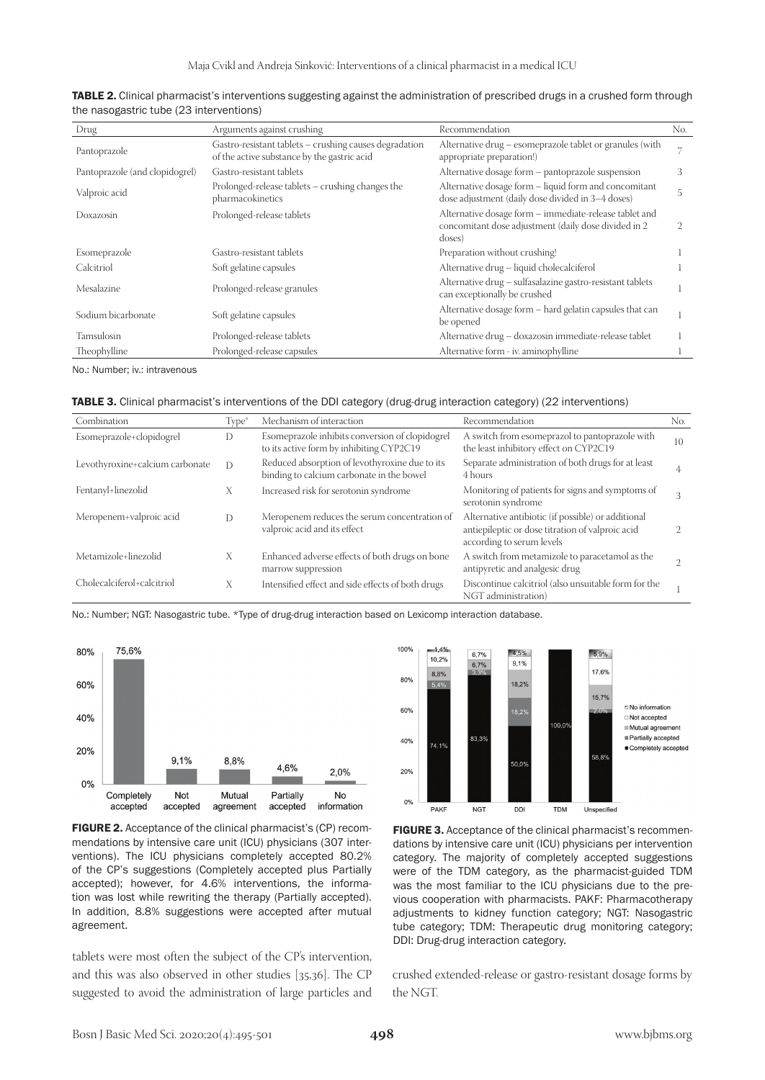| Drug                           | Arguments against crushing                                                                            | Recommendation                                                                                                           | No.            |
|--------------------------------|-------------------------------------------------------------------------------------------------------|--------------------------------------------------------------------------------------------------------------------------|----------------|
| Pantoprazole                   | Gastro-resistant tablets – crushing causes degradation<br>of the active substance by the gastric acid | Alternative drug - esomeprazole tablet or granules (with<br>appropriate preparation!)                                    | $\overline{ }$ |
| Pantoprazole (and clopidogrel) | Gastro-resistant tablets                                                                              | Alternative dosage form - pantoprazole suspension                                                                        | .5             |
| Valproic acid                  | Prolonged-release tablets – crushing changes the<br>pharmacokinetics                                  | Alternative dosage form – liquid form and concomitant<br>dose adjustment (daily dose divided in 3-4 doses)               | 5              |
| Doxazosin                      | Prolonged-release tablets                                                                             | Alternative dosage form - immediate-release tablet and<br>concomitant dose adjustment (daily dose divided in 2<br>doses) |                |
| Esomeprazole                   | Gastro-resistant tablets                                                                              | Preparation without crushing!                                                                                            |                |
| Calcitriol                     | Soft gelatine capsules                                                                                | Alternative drug - liquid cholecalciferol                                                                                |                |
| Mesalazine                     | Prolonged-release granules                                                                            | Alternative drug - sulfasalazine gastro-resistant tablets<br>can exceptionally be crushed                                |                |
| Sodium bicarbonate             | Soft gelatine capsules                                                                                | Alternative dosage form – hard gelatin capsules that can<br>be opened                                                    |                |
| Tamsulosin                     | Prolonged-release tablets                                                                             | Alternative drug - doxazosin immediate-release tablet                                                                    |                |
| Theophylline                   | Prolonged-release capsules                                                                            | Alternative form - iv. aminophylline                                                                                     |                |

| TABLE 2. Clinical pharmacist's interventions suggesting against the administration of prescribed drugs in a crushed form through |
|----------------------------------------------------------------------------------------------------------------------------------|
| the nasogastric tube (23 interventions)                                                                                          |

No.: Number; iv.: intravenous

| TABLE 3. Clinical pharmacist's interventions of the DDI category (drug-drug interaction category) (22 interventions) |  |  |  |  |  |
|----------------------------------------------------------------------------------------------------------------------|--|--|--|--|--|
|----------------------------------------------------------------------------------------------------------------------|--|--|--|--|--|

| Combination                     | Type <sup>*</sup> | Mechanism of interaction                                                                    | Recommendation                                                                                                                      | No. |
|---------------------------------|-------------------|---------------------------------------------------------------------------------------------|-------------------------------------------------------------------------------------------------------------------------------------|-----|
| Esomeprazole+clopidogrel        | D                 | Esomeprazole inhibits conversion of clopidogrel<br>to its active form by inhibiting CYP2C19 | A switch from esomeprazol to pantoprazole with<br>the least inhibitory effect on CYP2C19                                            | 10  |
| Levothyroxine+calcium carbonate | $\mathcal{D}$     | Reduced absorption of levothyroxine due to its<br>binding to calcium carbonate in the bowel | Separate administration of both drugs for at least<br>4 hours                                                                       |     |
| Fentanyl+linezolid              | X                 | Increased risk for serotonin syndrome                                                       | Monitoring of patients for signs and symptoms of<br>serotonin syndrome                                                              |     |
| Meropenem+valproic acid         | D                 | Meropenem reduces the serum concentration of<br>valproic acid and its effect                | Alternative antibiotic (if possible) or additional<br>antiepileptic or dose titration of valproic acid<br>according to serum levels |     |
| Metamizole+linezolid            | X                 | Enhanced adverse effects of both drugs on bone<br>marrow suppression                        | A switch from metamizole to paracetamol as the<br>antipyretic and analgesic drug                                                    |     |
| Cholecalciferol+calcitriol      | X                 | Intensified effect and side effects of both drugs                                           | Discontinue calcitriol (also unsuitable form for the<br>NGT administration)                                                         |     |

No.: Number; NGT: Nasogastric tube. \*Type of drug-drug interaction based on Lexicomp interaction database.



FIGURE 2. Acceptance of the clinical pharmacist's (CP) recommendations by intensive care unit (ICU) physicians (307 interventions). The ICU physicians completely accepted 80.2% of the CP's suggestions (Completely accepted plus Partially accepted); however, for 4.6% interventions, the information was lost while rewriting the therapy (Partially accepted). In addition, 8.8% suggestions were accepted after mutual agreement.

tablets were most often the subject of the CP's intervention, and this was also observed in other studies [35,36]. The CP suggested to avoid the administration of large particles and



FIGURE 3. Acceptance of the clinical pharmacist's recommendations by intensive care unit (ICU) physicians per intervention category. The majority of completely accepted suggestions were of the TDM category, as the pharmacist-guided TDM was the most familiar to the ICU physicians due to the previous cooperation with pharmacists. PAKF: Pharmacotherapy adjustments to kidney function category; NGT: Nasogastric tube category; TDM: Therapeutic drug monitoring category; DDI: Drug-drug interaction category.

crushed extended-release or gastro-resistant dosage forms by the NGT.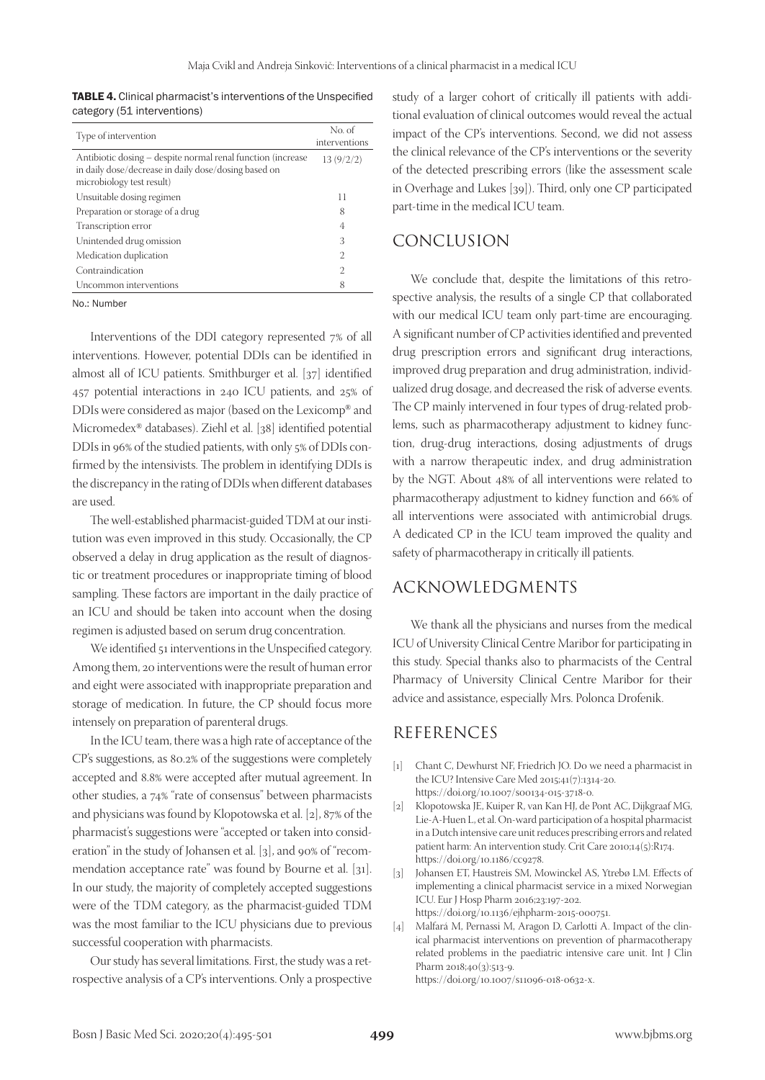TABLE 4. Clinical pharmacist's interventions of the Unspecified category (51 interventions)

| Type of intervention                                                                                                                             | No. of<br>interventions |
|--------------------------------------------------------------------------------------------------------------------------------------------------|-------------------------|
| Antibiotic dosing – despite normal renal function (increase<br>in daily dose/decrease in daily dose/dosing based on<br>microbiology test result) | 13(9/2/2)               |
| Unsuitable dosing regimen                                                                                                                        | 11                      |
| Preparation or storage of a drug                                                                                                                 | 8                       |
| Transcription error                                                                                                                              | 4                       |
| Unintended drug omission                                                                                                                         | 3                       |
| Medication duplication                                                                                                                           | 2                       |
| Contraindication                                                                                                                                 | 2                       |
| Uncommon interventions                                                                                                                           | 8                       |

No.: Number

Interventions of the DDI category represented 7% of all interventions. However, potential DDIs can be identified in almost all of ICU patients. Smithburger et al. [37] identified 457 potential interactions in 240 ICU patients, and 25% of DDIs were considered as major (based on the Lexicomp® and Micromedex® databases). Ziehl et al. [38] identified potential DDIs in 96% of the studied patients, with only 5% of DDIs confirmed by the intensivists. The problem in identifying DDIs is the discrepancy in the rating of DDIs when different databases are used.

The well-established pharmacist-guided TDM at our institution was even improved in this study. Occasionally, the CP observed a delay in drug application as the result of diagnostic or treatment procedures or inappropriate timing of blood sampling. These factors are important in the daily practice of an ICU and should be taken into account when the dosing regimen is adjusted based on serum drug concentration.

We identified 51 interventions in the Unspecified category. Among them, 20 interventions were the result of human error and eight were associated with inappropriate preparation and storage of medication. In future, the CP should focus more intensely on preparation of parenteral drugs.

In the ICU team, there was a high rate of acceptance of the CP's suggestions, as 80.2% of the suggestions were completely accepted and 8.8% were accepted after mutual agreement. In other studies, a 74% "rate of consensus" between pharmacists and physicians was found by Klopotowska et al. [2], 87% of the pharmacist's suggestions were "accepted or taken into consideration" in the study of Johansen et al. [3], and 90% of "recommendation acceptance rate" was found by Bourne et al. [31]. In our study, the majority of completely accepted suggestions were of the TDM category, as the pharmacist-guided TDM was the most familiar to the ICU physicians due to previous successful cooperation with pharmacists.

Our study has several limitations. First, the study was a retrospective analysis of a CP's interventions. Only a prospective study of a larger cohort of critically ill patients with additional evaluation of clinical outcomes would reveal the actual impact of the CP's interventions. Second, we did not assess the clinical relevance of the CP's interventions or the severity of the detected prescribing errors (like the assessment scale in Overhage and Lukes [39]). Third, only one CP participated part-time in the medical ICU team.

#### CONCLUSION

We conclude that, despite the limitations of this retrospective analysis, the results of a single CP that collaborated with our medical ICU team only part-time are encouraging. A significant number of CP activities identified and prevented drug prescription errors and significant drug interactions, improved drug preparation and drug administration, individualized drug dosage, and decreased the risk of adverse events. The CP mainly intervened in four types of drug-related problems, such as pharmacotherapy adjustment to kidney function, drug-drug interactions, dosing adjustments of drugs with a narrow therapeutic index, and drug administration by the NGT. About 48% of all interventions were related to pharmacotherapy adjustment to kidney function and 66% of all interventions were associated with antimicrobial drugs. A dedicated CP in the ICU team improved the quality and safety of pharmacotherapy in critically ill patients.

## ACKNOWLEDGMENTS

We thank all the physicians and nurses from the medical ICU of University Clinical Centre Maribor for participating in this study. Special thanks also to pharmacists of the Central Pharmacy of University Clinical Centre Maribor for their advice and assistance, especially Mrs. Polonca Drofenik.

### REFERENCES

- [1] Chant C, Dewhurst NF, Friedrich JO. Do we need a pharmacist in the ICU? Intensive Care Med 2015;41(7):1314-20. https://doi.org/10.1007/s00134-015-3718-0.
- [2] Klopotowska JE, Kuiper R, van Kan HJ, de Pont AC, Dijkgraaf MG, Lie-A-Huen L, et al. On-ward participation of a hospital pharmacist in a Dutch intensive care unit reduces prescribing errors and related patient harm: An intervention study. Crit Care 2010;14(5):R174. https://doi.org/10.1186/cc9278.
- [3] Johansen ET, Haustreis SM, Mowinckel AS, Ytrebø LM. Effects of implementing a clinical pharmacist service in a mixed Norwegian ICU. Eur J Hosp Pharm 2016;23:197-202. https://doi.org/10.1136/ejhpharm-2015-000751.
- [4] Malfará M, Pernassi M, Aragon D, Carlotti A. Impact of the clinical pharmacist interventions on prevention of pharmacotherapy related problems in the paediatric intensive care unit. Int J Clin Pharm 2018;40(3):513-9.

https://doi.org/10.1007/s11096-018-0632-x.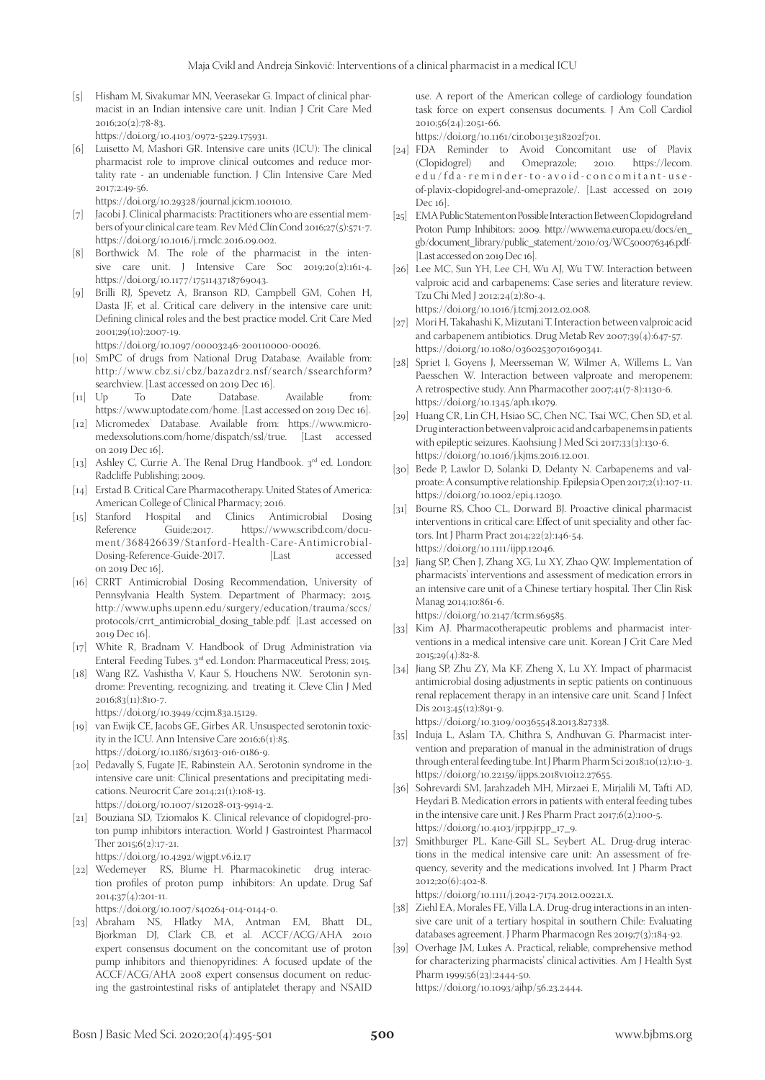[5] Hisham M, Sivakumar MN, Veerasekar G. Impact of clinical pharmacist in an Indian intensive care unit. Indian J Crit Care Med  $2016;20(2):78-83.$ 

https://doi.org/10.4103/0972-5229.175931.

[6] Luisetto M, Mashori GR. Intensive care units (ICU): The clinical pharmacist role to improve clinical outcomes and reduce mortality rate - an undeniable function. J Clin Intensive Care Med 2017;2:49-56.

https://doi.org/10.29328/journal.jcicm.1001010.

- [7] Jacobi J. Clinical pharmacists: Practitioners who are essential members of your clinical care team. Rev Méd Clín Cond 2016;27(5):571-7. https://doi.org/10.1016/j.rmclc.2016.09.002.
- [8] Borthwick M. The role of the pharmacist in the intensive care unit. J Intensive Care Soc 2019;20(2):161-4. https://doi.org/10.1177/1751143718769043.
- [9] Brilli RJ, Spevetz A, Branson RD, Campbell GM, Cohen H, Dasta JF, et al. Critical care delivery in the intensive care unit: Defining clinical roles and the best practice model. Crit Care Med 2001;29(10):2007-19.

https://doi.org/10.1097/00003246-200110000-00026.

- [10] SmPC of drugs from National Drug Database. Available from: http://www.cbz.si/cbz/bazazdr2.nsf/search/\$searchform? searchview. [Last accessed on 2019 Dec 16].<br>Up To Date Database.
- $\begin{bmatrix} 11 \end{bmatrix}$  Up Available from: https://www.uptodate.com/home. [Last accessed on 2019 Dec 16].
- [12] Micromedex Database. Available from: https://www.micromedexsolutions.com/home/dispatch/ssl/true. [Last accessed on 2019 Dec 16].
- [13] Ashley C, Currie A. The Renal Drug Handbook. 3rd ed. London: Radcliffe Publishing; 2009.
- [14] Erstad B. Critical Care Pharmacotherapy. United States of America: American College of Clinical Pharmacy; 2016.
- [15] Stanford Hospital and Clinics Antimicrobial Dosing https://www.scribd.com/document/368426639/Stanford-Health-Care-Antimicrobial-Dosing-Reference-Guide-2017. on 2019 Dec 16].
- [16] CRRT Antimicrobial Dosing Recommendation, University of Pennsylvania Health System. Department of Pharmacy; 2015. http://www.uphs.upenn.edu/surgery/education/trauma/sccs/ protocols/crrt\_antimicrobial\_dosing\_table.pdf. [Last accessed on 2019 Dec 16].
- [17] White R, Bradnam V. Handbook of Drug Administration via Enteral Feeding Tubes. 3rd ed. London: Pharmaceutical Press; 2015.
- [18] Wang RZ, Vashistha V, Kaur S, Houchens NW. Serotonin syndrome: Preventing, recognizing, and treating it. Cleve Clin J Med 2016;83(11):810-7.

https://doi.org/10.3949/ccjm.83a.15129.

- [19] van Ewijk CE, Jacobs GE, Girbes AR. Unsuspected serotonin toxicity in the ICU. Ann Intensive Care 2016;6(1):85. https://doi.org/10.1186/s13613-016-0186-9.
- [20] Pedavally S, Fugate JE, Rabinstein AA. Serotonin syndrome in the intensive care unit: Clinical presentations and precipitating medications. Neurocrit Care 2014;21(1):108-13. https://doi.org/10.1007/s12028-013-9914-2.
- [21] Bouziana SD, Tziomalos K. Clinical relevance of clopidogrel-proton pump inhibitors interaction. World J Gastrointest Pharmacol Ther 2015;6(2):17-21.

https://doi.org/10.4292/wjgpt.v6.i2.17

[22] Wedemeyer RS, Blume H. Pharmacokinetic drug interaction profiles of proton pump inhibitors: An update. Drug Saf 2014;37(4):201-11.

https://doi.org/10.1007/s40264-014-0144-0.

[23] Abraham NS, Hlatky MA, Antman EM, Bhatt DL, Bjorkman DJ, Clark CB, et al. ACCF/ACG/AHA 2010 expert consensus document on the concomitant use of proton pump inhibitors and thienopyridines: A focused update of the ACCF/ACG/AHA 2008 expert consensus document on reducing the gastrointestinal risks of antiplatelet therapy and NSAID

use. A report of the American college of cardiology foundation task force on expert consensus documents. J Am Coll Cardiol 2010;56(24):2051-66.

https://doi.org/10.1161/cir.0b013e318202f701.

- [24] FDA Reminder to Avoid Concomitant use of Plavix Omeprazole; 2010. https://lecom. edu/fda-reminder-to-avoid-concomitant-useof-plavix-clopidogrel-and-omeprazole/. [Last accessed on 2019 Dec 16].
- [25] EMA Public Statement on Possible Interaction Between Clopidogrel and Proton Pump Inhibitors; 2009. http://www.ema.europa.eu/docs/en\_ gb/document\_library/public\_statement/2010/03/WC500076346.pdf- [Last accessed on 2019 Dec 16].
- [26] Lee MC, Sun YH, Lee CH, Wu AJ, Wu TW. Interaction between valproic acid and carbapenems: Case series and literature review. Tzu Chi Med J 2012;24(2):80-4.

https://doi.org/10.1016/j.tcmj.2012.02.008.

- [27] Mori H, Takahashi K, Mizutani T. Interaction between valproic acid and carbapenem antibiotics. Drug Metab Rev 2007;39(4):647-57. https://doi.org/10.1080/03602530701690341.
- [28] Spriet I, Goyens J, Meersseman W, Wilmer A, Willems L, Van Paesschen W. Interaction between valproate and meropenem: A retrospective study. Ann Pharmacother 2007;41(7-8):1130-6. https://doi.org/10.1345/aph.1k079.
- [29] Huang CR, Lin CH, Hsiao SC, Chen NC, Tsai WC, Chen SD, et al. Drug interaction between valproic acid and carbapenems in patients with epileptic seizures. Kaohsiung J Med Sci 2017;33(3):130-6. https://doi.org/10.1016/j.kjms.2016.12.001.
- [30] Bede P, Lawlor D, Solanki D, Delanty N. Carbapenems and valproate: A consumptive relationship. Epilepsia Open 2017;2(1):107-11. https://doi.org/10.1002/epi4.12030.
- [31] Bourne RS, Choo CL, Dorward BJ. Proactive clinical pharmacist interventions in critical care: Effect of unit speciality and other factors. Int J Pharm Pract 2014;22(2):146-54. https://doi.org/10.1111/ijpp.12046.
- [32] Jiang SP, Chen J, Zhang XG, Lu XY, Zhao QW. Implementation of pharmacists' interventions and assessment of medication errors in an intensive care unit of a Chinese tertiary hospital. Ther Clin Risk Manag 2014;10:861-6.

https://doi.org/10.2147/tcrm.s69585.

- [33] Kim AJ. Pharmacotherapeutic problems and pharmacist interventions in a medical intensive care unit. Korean J Crit Care Med 2015;29(4):82-8.
- [34] Jiang SP, Zhu ZY, Ma KF, Zheng X, Lu XY. Impact of pharmacist antimicrobial dosing adjustments in septic patients on continuous renal replacement therapy in an intensive care unit. Scand J Infect Dis 2013;45(12):891-9.

https://doi.org/10.3109/00365548.2013.827338.

- [35] Induja L, Aslam TA, Chithra S, Andhuvan G. Pharmacist intervention and preparation of manual in the administration of drugs through enteral feeding tube. Int J Pharm Pharm Sci 2018;10(12):10-3. https://doi.org/10.22159/ijpps.2018v10i12.27655.
- [36] Sohrevardi SM, Jarahzadeh MH, Mirzaei E, Mirjalili M, Tafti AD, Heydari B. Medication errors in patients with enteral feeding tubes in the intensive care unit. J Res Pharm Pract 2017;6(2):100-5. https://doi.org/10.4103/jrpp.jrpp\_17\_9.
- [37] Smithburger PL, Kane-Gill SL, Seybert AL. Drug-drug interactions in the medical intensive care unit: An assessment of frequency, severity and the medications involved. Int J Pharm Pract 2012;20(6):402-8.

https://doi.org/10.1111/j.2042-7174.2012.00221.x.

- [38] Ziehl EA, Morales FE, Villa LA. Drug-drug interactions in an intensive care unit of a tertiary hospital in southern Chile: Evaluating databases agreement. J Pharm Pharmacogn Res 2019;7(3):184-92.
- [39] Overhage JM, Lukes A. Practical, reliable, comprehensive method for characterizing pharmacists' clinical activities. Am J Health Syst Pharm 1999;56(23):2444-50. https://doi.org/10.1093/ajhp/56.23.2444.